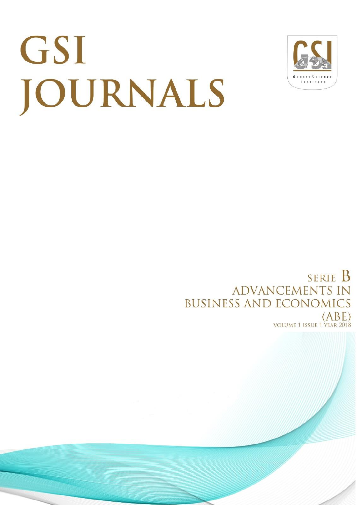# GSI JOURNALS



**SERIE B ADVANCEMENTS IN BUSINESS AND ECONOMICS**  $(ABE)$ **VOLUME 1 ISSUE 1 YEAR 20**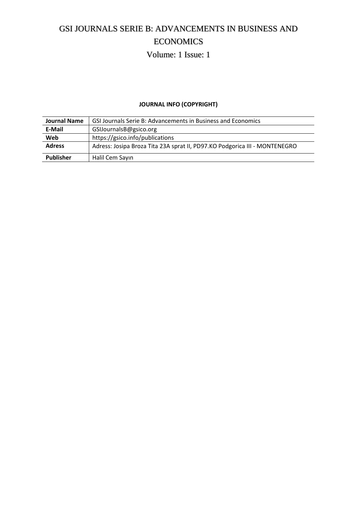# GSI JOURNALS SERIE B: ADVANCEMENTS IN BUSINESS AND ECONOMICS

## Volume: 1 Issue: 1

#### **JOURNAL INFO (COPYRIGHT)**

| <b>Journal Name</b> | GSI Journals Serie B: Advancements in Business and Economics               |
|---------------------|----------------------------------------------------------------------------|
| E-Mail              | GSIJournalsB@gsico.org                                                     |
| Web                 | https://gsico.info/publications                                            |
| <b>Adress</b>       | Adress: Josipa Broza Tita 23A sprat II, PD97.KO Podgorica III - MONTENEGRO |
| <b>Publisher</b>    | Halil Cem Sayın                                                            |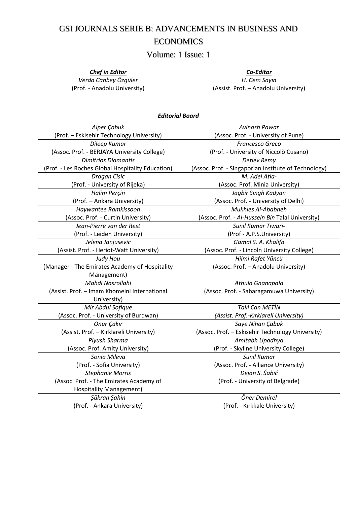## GSI JOURNALS SERIE B: ADVANCEMENTS IN BUSINESS AND ECONOMICS

Volume: 1 Issue: 1

#### *Chef in Editor*

*Verda Canbey Özgüler*  (Prof. - Anadolu University)

*Co-Editor H. Cem Sayın*  (Assist. Prof. – Anadolu University)

#### *Editorial Board*

| Alper Çabuk                                       | Avinash Pawar                                        |  |
|---------------------------------------------------|------------------------------------------------------|--|
| (Prof. - Eskisehir Technology University)         | (Assoc. Prof. - University of Pune)                  |  |
| Dileep Kumar                                      | Francesco Greco                                      |  |
| (Assoc. Prof. - BERJAYA University College)       | (Prof. - University of Niccolò Cusano)               |  |
| <b>Dimitrios Diamantis</b>                        | Detlev Remy                                          |  |
| (Prof. - Les Roches Global Hospitality Education) | (Assoc. Prof. - Singaporian Institute of Technology) |  |
| Dragan Cisic                                      | M. Adel Atia-                                        |  |
| (Prof. - University of Rijeka)                    | (Assoc. Prof. Minia University)                      |  |
| Halim Perçin                                      | Jagbir Singh Kadyan                                  |  |
| (Prof. - Ankara University)                       | (Assoc. Prof. - University of Delhi)                 |  |
| Haywantee Ramkissoon                              | <b>Mukhles Al-Ababneh</b>                            |  |
| (Assoc. Prof. - Curtin University)                | (Assoc. Prof. - Al-Hussein Bin Talal University)     |  |
| Jean-Pierre van der Rest                          | Sunil Kumar Tiwari-                                  |  |
| (Prof. - Leiden University)                       | (Prof - A.P.S.University)                            |  |
| Jelena Janjusevic                                 | Gamal S. A. Khalifa                                  |  |
| (Assist. Prof. - Heriot-Watt University)          | (Assoc. Prof. - Lincoln University College)          |  |
| Judy Hou                                          | Hilmi Rafet Yüncü                                    |  |
| (Manager - The Emirates Academy of Hospitality    | (Assoc. Prof. - Anadolu University)                  |  |
| Management)                                       |                                                      |  |
| Mahdi Nasrollahi                                  | Athula Gnanapala                                     |  |
| (Assist. Prof. - Imam Khomeini International      | (Assoc. Prof. - Sabaragamuwa University)             |  |
| University)                                       |                                                      |  |
| Mir Abdul Sofique                                 | <b>Taki Can METİN</b>                                |  |
| (Assoc. Prof. - University of Burdwan)            | (Assist. Prof.-Kırklareli University)                |  |
| Onur Çakır                                        | Saye Nihan Çabuk                                     |  |
| (Assist. Prof. - Kırklareli University)           | (Assoc. Prof. - Eskisehir Technology University)     |  |
| Piyush Sharma                                     | Amitabh Upadhya                                      |  |
| (Assoc. Prof. Amity University)                   | (Prof. - Skyline University College)                 |  |
| Sonia Mileva                                      | Sunil Kumar                                          |  |
| (Prof. - Sofia University)                        | (Assoc. Prof. - Alliance University)                 |  |
| <b>Stephanie Morris</b>                           | Dejan S. Šabić                                       |  |
| (Assoc. Prof. - The Emirates Academy of           | (Prof. - University of Belgrade)                     |  |
| <b>Hospitality Management)</b>                    |                                                      |  |
| Şükran Şahin                                      | Öner Demirel                                         |  |
| (Prof. - Ankara University)                       | (Prof. - Kırkkale University)                        |  |